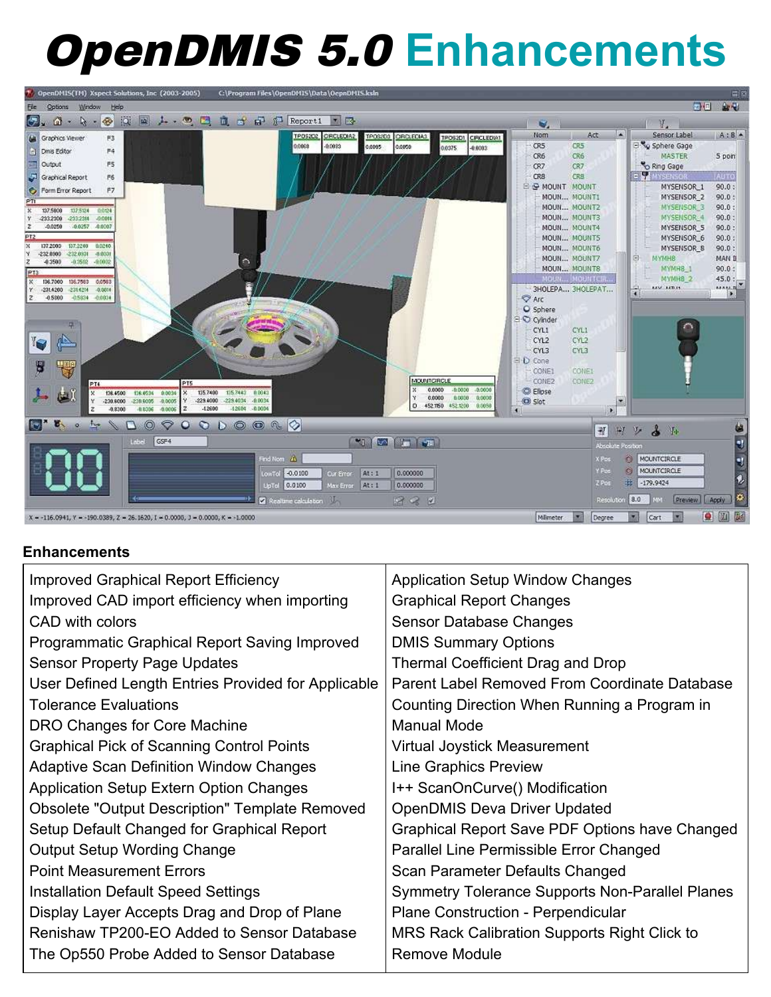# OpenDMIS 5.0 **Enhancements**



### **Enhancements**

| <b>Improved Graphical Report Efficiency</b>           | <b>Application Setup Window Changes</b>         |
|-------------------------------------------------------|-------------------------------------------------|
| Improved CAD import efficiency when importing         | <b>Graphical Report Changes</b>                 |
| CAD with colors                                       | Sensor Database Changes                         |
| Programmatic Graphical Report Saving Improved         | <b>DMIS Summary Options</b>                     |
| <b>Sensor Property Page Updates</b>                   | <b>Thermal Coefficient Drag and Drop</b>        |
| User Defined Length Entries Provided for Applicable   | Parent Label Removed From Coordinate Database   |
| <b>Tolerance Evaluations</b>                          | Counting Direction When Running a Program in    |
| DRO Changes for Core Machine                          | Manual Mode                                     |
| <b>Graphical Pick of Scanning Control Points</b>      | <b>Virtual Joystick Measurement</b>             |
| <b>Adaptive Scan Definition Window Changes</b>        | <b>Line Graphics Preview</b>                    |
| <b>Application Setup Extern Option Changes</b>        | I++ ScanOnCurve() Modification                  |
| <b>Obsolete "Output Description" Template Removed</b> | <b>OpenDMIS Deva Driver Updated</b>             |
| Setup Default Changed for Graphical Report            | Graphical Report Save PDF Options have Changed  |
| <b>Output Setup Wording Change</b>                    | Parallel Line Permissible Error Changed         |
| <b>Point Measurement Errors</b>                       | Scan Parameter Defaults Changed                 |
| Installation Default Speed Settings                   | Symmetry Tolerance Supports Non-Parallel Planes |
| Display Layer Accepts Drag and Drop of Plane          | Plane Construction - Perpendicular              |
| Renishaw TP200-EO Added to Sensor Database            | MRS Rack Calibration Supports Right Click to    |
| The Op550 Probe Added to Sensor Database              | Remove Module                                   |
|                                                       |                                                 |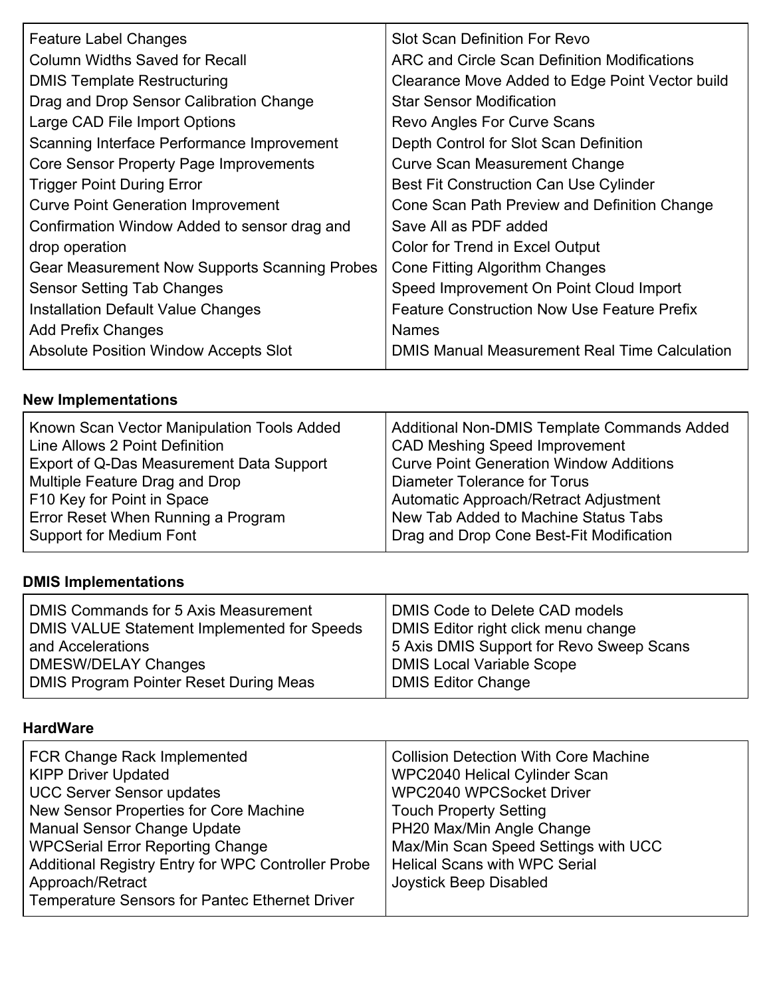| <b>Feature Label Changes</b>                  | <b>Slot Scan Definition For Revo</b>                 |
|-----------------------------------------------|------------------------------------------------------|
| Column Widths Saved for Recall                | ARC and Circle Scan Definition Modifications         |
| <b>DMIS Template Restructuring</b>            | Clearance Move Added to Edge Point Vector build      |
| Drag and Drop Sensor Calibration Change       | <b>Star Sensor Modification</b>                      |
| Large CAD File Import Options                 | Revo Angles For Curve Scans                          |
| Scanning Interface Performance Improvement    | Depth Control for Slot Scan Definition               |
| Core Sensor Property Page Improvements        | <b>Curve Scan Measurement Change</b>                 |
| <b>Trigger Point During Error</b>             | Best Fit Construction Can Use Cylinder               |
| <b>Curve Point Generation Improvement</b>     | Cone Scan Path Preview and Definition Change         |
| Confirmation Window Added to sensor drag and  | Save All as PDF added                                |
| drop operation                                | Color for Trend in Excel Output                      |
| Gear Measurement Now Supports Scanning Probes | Cone Fitting Algorithm Changes                       |
| <b>Sensor Setting Tab Changes</b>             | Speed Improvement On Point Cloud Import              |
| Installation Default Value Changes            | <b>Feature Construction Now Use Feature Prefix</b>   |
| <b>Add Prefix Changes</b>                     | <b>Names</b>                                         |
| <b>Absolute Position Window Accepts Slot</b>  | <b>DMIS Manual Measurement Real Time Calculation</b> |
|                                               |                                                      |

## **New Implementations**

| Known Scan Vector Manipulation Tools Added<br>Line Allows 2 Point Definition<br>Export of Q-Das Measurement Data Support<br>Multiple Feature Drag and Drop<br>F10 Key for Point in Space<br>Error Reset When Running a Program | Additional Non-DMIS Template Commands Added<br><b>CAD Meshing Speed Improvement</b><br><b>Curve Point Generation Window Additions</b><br>Diameter Tolerance for Torus<br>Automatic Approach/Retract Adjustment<br>New Tab Added to Machine Status Tabs |
|--------------------------------------------------------------------------------------------------------------------------------------------------------------------------------------------------------------------------------|--------------------------------------------------------------------------------------------------------------------------------------------------------------------------------------------------------------------------------------------------------|
| Support for Medium Font                                                                                                                                                                                                        | Drag and Drop Cone Best-Fit Modification                                                                                                                                                                                                               |
|                                                                                                                                                                                                                                |                                                                                                                                                                                                                                                        |

## **DMIS Implementations**

### **HardWare**

| <b>FCR Change Rack Implemented</b><br><b>KIPP Driver Updated</b><br><b>UCC Server Sensor updates</b><br>New Sensor Properties for Core Machine<br><b>Manual Sensor Change Update</b><br><b>WPCSerial Error Reporting Change</b><br>Additional Registry Entry for WPC Controller Probe<br>Approach/Retract | <b>Collision Detection With Core Machine</b><br>WPC2040 Helical Cylinder Scan<br>WPC2040 WPCSocket Driver<br><b>Touch Property Setting</b><br>PH20 Max/Min Angle Change<br>Max/Min Scan Speed Settings with UCC<br><b>Helical Scans with WPC Serial</b><br>Joystick Beep Disabled |
|-----------------------------------------------------------------------------------------------------------------------------------------------------------------------------------------------------------------------------------------------------------------------------------------------------------|-----------------------------------------------------------------------------------------------------------------------------------------------------------------------------------------------------------------------------------------------------------------------------------|
| <b>Temperature Sensors for Pantec Ethernet Driver</b>                                                                                                                                                                                                                                                     |                                                                                                                                                                                                                                                                                   |
|                                                                                                                                                                                                                                                                                                           |                                                                                                                                                                                                                                                                                   |